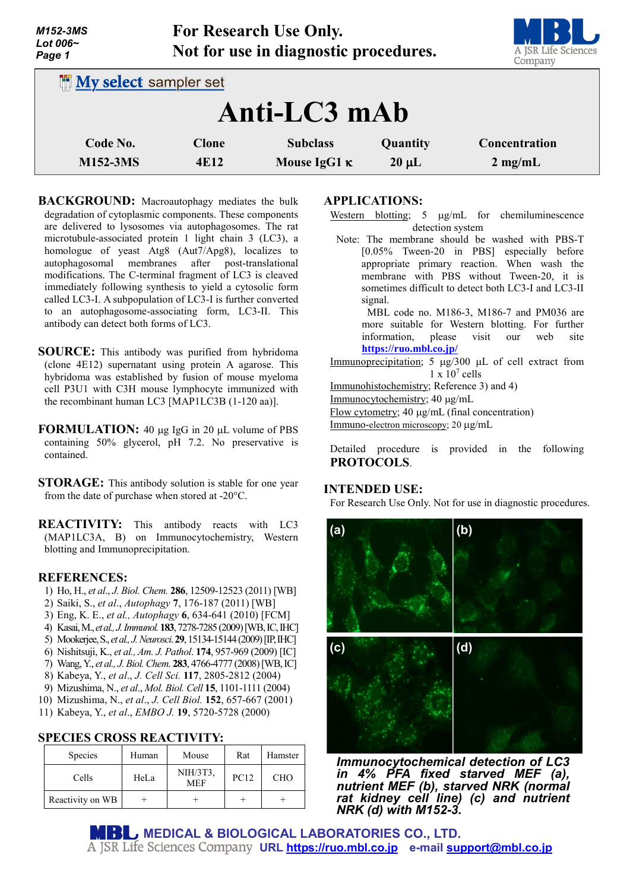| <b>M152-3MS</b><br>Lot $006-$<br>Page 1       | <b>For Research Use Only.</b><br>Not for use in diagnostic procedures. | A JSR Life Sciences<br>Company         |                        |                                    |  |  |  |  |
|-----------------------------------------------|------------------------------------------------------------------------|----------------------------------------|------------------------|------------------------------------|--|--|--|--|
| <b>INy select sampler set</b><br>Anti-LC3 mAb |                                                                        |                                        |                        |                                    |  |  |  |  |
| Code No.<br><b>M152-3MS</b>                   | <b>Clone</b><br>4E12                                                   | <b>Subclass</b><br>Mouse IgG1 $\kappa$ | Quantity<br>$20 \mu L$ | Concentration<br>$2 \text{ mg/mL}$ |  |  |  |  |

**BACKGROUND:** Macroautophagy mediates the bulk degradation of cytoplasmic components. These components are delivered to lysosomes via autophagosomes. The rat microtubule-associated protein 1 light chain 3 (LC3), a homologue of yeast Atg8 (Aut7/Apg8), localizes to autophagosomal membranes after post-translational modifications. The C-terminal fragment of LC3 is cleaved immediately following synthesis to yield a cytosolic form called LC3-I. A subpopulation of LC3-I is further converted to an autophagosome-associating form, LC3-II. This antibody can detect both forms of LC3.

- **SOURCE:** This antibody was purified from hybridoma (clone 4E12) supernatant using protein A agarose. This hybridoma was established by fusion of mouse myeloma cell P3U1 with C3H mouse lymphocyte immunized with the recombinant human LC3 [MAP1LC3B (1-120 aa)].
- **FORMULATION:** 40 µg IgG in 20 µL volume of PBS containing 50% glycerol, pH 7.2. No preservative is contained.
- **STORAGE:** This antibody solution is stable for one year from the date of purchase when stored at -20°C.

**REACTIVITY:** This antibody reacts with LC3 (MAP1LC3A, B) on Immunocytochemistry, Western blotting and Immunoprecipitation.

### **REFERENCES:**

- 1) Ho, H., *et al*., *J. Biol. Chem.* **286**, 12509-12523 (2011) [WB]
- 2) Saiki, S., *et al*., *Autophagy* **7**, 176-187 (2011) [WB]
- 3) Eng, K. E., *et al., Autophagy* **6**, 634-641 (2010) [FCM]
- 4) Kasai, M., *et al., J. Immunol.***183**, 7278-7285 (2009)[WB, IC, IHC]
- 5) Mookerjee, S., *et al., J. Neurosci*.**29**, 15134-15144 (2009)[IP, IHC]
- 6) Nishitsuji, K., *et al., Am. J. Pathol*. **174**, 957-969 (2009) [IC]
- 7) Wang, Y., *et al., J. Biol. Chem*. **283**, 4766-4777 (2008)[WB, IC]
- 8) Kabeya, Y., *et al*., *J. Cell Sci.* **117**, 2805-2812 (2004)
- 9) Mizushima, N., *et al*., *Mol. Biol. Cell* **15**, 1101-1111 (2004)
- 10) Mizushima, N., *et al*., *J. Cell Biol.* **152**, 657-667 (2001)
- 11) Kabeya, Y., *et al*., *EMBO J.* **19**, 5720-5728 (2000)

# **SPECIES CROSS REACTIVITY:**

| <b>Species</b>   | Human | Mouse                  | Rat         | Hamster    |
|------------------|-------|------------------------|-------------|------------|
| Cells            | HeLa  | NIH/3T3,<br><b>MEF</b> | <b>PC12</b> | <b>CHO</b> |
| Reactivity on WB |       |                        |             |            |

## **APPLICATIONS:**

- Western blotting; 5 µg/mL for chemiluminescence detection system
	- Note: The membrane should be washed with PBS-T [0.05% Tween-20 in PBS] especially before appropriate primary reaction. When wash the membrane with PBS without Tween-20, it is sometimes difficult to detect both LC3-I and LC3-II signal.

MBL code no. M186-3, M186-7 and PM036 are more suitable for Western blotting. For further information, please visit our web site **<https://ruo.mbl.co.jp/>**

Immunoprecipitation; 5 µg/300 µL of cell extract from  $1 \times 10^7$  cells

Immunohistochemistry; Reference 3) and 4)

Immunocytochemistry; 40 µg/mL

Flow cytometry; 40 µg/mL (final concentration)

Immuno-electron microscopy; 20 µg/mL

Detailed procedure is provided in the following **PROTOCOLS**.

## **INTENDED USE:**

For Research Use Only. Not for use in diagnostic procedures.



*Immunocytochemical detection of LC3 in 4% PFA fixed starved MEF (a), nutrient MEF (b), starved NRK (normal rat kidney cell line) (c) and nutrient NRK (d) with M152-3.*

**BL** MEDICAL & BIOLOGICAL LABORATORIES CO., LTD. **URL [https://ruo.mbl.co.jp](https://ruo.mbl.co.jp/) e-mail [support@mbl.co.jp](mailto:support@mbl.co.jp)**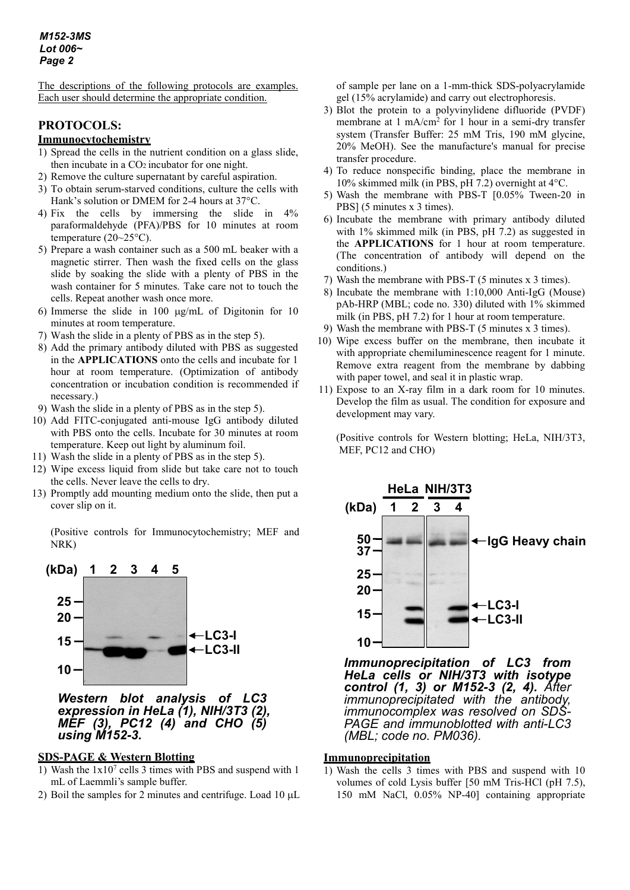The descriptions of the following protocols are examples. Each user should determine the appropriate condition.

# **PROTOCOLS:**

### **Immunocytochemistry**

- 1) Spread the cells in the nutrient condition on a glass slide, then incubate in a CO2 incubator for one night.
- 2) Remove the culture supernatant by careful aspiration.
- 3) To obtain serum-starved conditions, culture the cells with Hank's solution or DMEM for 2-4 hours at 37°C.
- 4) Fix the cells by immersing the slide in 4% paraformaldehyde (PFA)/PBS for 10 minutes at room temperature (20~25°C).
- 5) Prepare a wash container such as a 500 mL beaker with a magnetic stirrer. Then wash the fixed cells on the glass slide by soaking the slide with a plenty of PBS in the wash container for 5 minutes. Take care not to touch the cells. Repeat another wash once more.
- 6) Immerse the slide in 100 µg/mL of Digitonin for 10 minutes at room temperature.
- 7) Wash the slide in a plenty of PBS as in the step 5).
- 8) Add the primary antibody diluted with PBS as suggested in the **APPLICATIONS** onto the cells and incubate for 1 hour at room temperature. (Optimization of antibody concentration or incubation condition is recommended if necessary.)
- 9) Wash the slide in a plenty of PBS as in the step 5).
- 10) Add FITC-conjugated anti-mouse IgG antibody diluted with PBS onto the cells. Incubate for 30 minutes at room temperature. Keep out light by aluminum foil.
- 11) Wash the slide in a plenty of PBS as in the step 5).
- 12) Wipe excess liquid from slide but take care not to touch the cells. Never leave the cells to dry.
- 13) Promptly add mounting medium onto the slide, then put a cover slip on it.

(Positive controls for Immunocytochemistry; MEF and NRK)



*Western blot analysis of LC3 expression in HeLa (1), NIH/3T3 (2), MEF (3), PC12 (4) and CHO (5) using M152-3.*

## **SDS-PAGE & Western Blotting**

- 1) Wash the 1x107 cells 3 times with PBS and suspend with 1 mL of Laemmli's sample buffer.
- 2) Boil the samples for 2 minutes and centrifuge. Load 10  $\mu$ L

of sample per lane on a 1-mm-thick SDS-polyacrylamide gel (15% acrylamide) and carry out electrophoresis.

- 3) Blot the protein to a polyvinylidene difluoride (PVDF) membrane at 1 mA/cm<sup>2</sup> for 1 hour in a semi-dry transfer system (Transfer Buffer: 25 mM Tris, 190 mM glycine, 20% MeOH). See the manufacture's manual for precise transfer procedure.
- 4) To reduce nonspecific binding, place the membrane in 10% skimmed milk (in PBS, pH 7.2) overnight at 4°C.
- 5) Wash the membrane with PBS-T [0.05% Tween-20 in PBS] (5 minutes x 3 times).
- 6) Incubate the membrane with primary antibody diluted with 1% skimmed milk (in PBS, pH 7.2) as suggested in the **APPLICATIONS** for 1 hour at room temperature. (The concentration of antibody will depend on the conditions.)
- 7) Wash the membrane with PBS-T (5 minutes x 3 times).
- 8) Incubate the membrane with 1:10,000 Anti-IgG (Mouse) pAb-HRP (MBL; code no. 330) diluted with 1% skimmed milk (in PBS, pH 7.2) for 1 hour at room temperature.
- 9) Wash the membrane with PBS-T (5 minutes x 3 times).
- 10) Wipe excess buffer on the membrane, then incubate it with appropriate chemiluminescence reagent for 1 minute. Remove extra reagent from the membrane by dabbing with paper towel, and seal it in plastic wrap.
- 11) Expose to an X-ray film in a dark room for 10 minutes. Develop the film as usual. The condition for exposure and development may vary.

(Positive controls for Western blotting; HeLa, NIH/3T3, MEF, PC12 and CHO)



*Immunoprecipitation of LC3 from HeLa cells or NIH/3T3 with isotype control (1, 3) or M152-3 (2, 4). After immunoprecipitated with the antibody, immunocomplex was resolved on SDS- PAGE and immunoblotted with anti-LC3 (MBL; code no. PM036).*

# **Immunoprecipitation**

1) Wash the cells 3 times with PBS and suspend with 10 volumes of cold Lysis buffer [50 mM Tris-HCl (pH 7.5), 150 mM NaCl, 0.05% NP-40] containing appropriate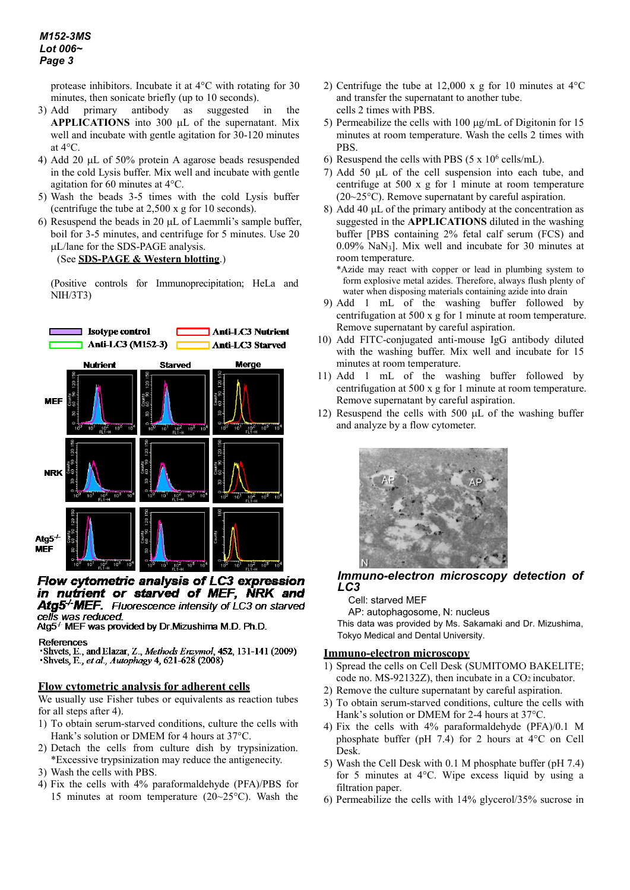protease inhibitors. Incubate it at 4°C with rotating for 30 minutes, then sonicate briefly (up to 10 seconds).

- 3) Add primary antibody as suggested in the **APPLICATIONS** into 300 µL of the supernatant. Mix well and incubate with gentle agitation for 30-120 minutes at 4°C.
- 4) Add 20 µL of 50% protein A agarose beads resuspended in the cold Lysis buffer. Mix well and incubate with gentle agitation for 60 minutes at 4°C.
- 5) Wash the beads 3-5 times with the cold Lysis buffer (centrifuge the tube at 2,500 x g for 10 seconds).
- 6) Resuspend the beads in 20 µL of Laemmli's sample buffer, boil for 3-5 minutes, and centrifuge for 5 minutes. Use 20 µL/lane for the SDS-PAGE analysis.

# (See **SDS-PAGE & Western blotting**.)

(Positive controls for Immunoprecipitation; HeLa and NIH/3T3)



Flow cytometric analysis of LC3 expression in nutrient or starved of MEF, NRK and Atg5<sup>-/-</sup>MEF. Fluorescence intensity of LC3 on starved

cells was reduced. Atg5<sup>+</sup> MEF was provided by Dr.Mizushima M.D. Ph.D.

#### References

Shvets, E., and Elazar, Z., Methods Enzymol, 452, 131-141 (2009) Shvets, E., et al., Autophagy 4, 621-628 (2008)

### **Flow cytometric analysis for adherent cells**

We usually use Fisher tubes or equivalents as reaction tubes for all steps after 4).

- 1) To obtain serum-starved conditions, culture the cells with Hank's solution or DMEM for 4 hours at 37°C.
- 2) Detach the cells from culture dish by trypsinization. \*Excessive trypsinization may reduce the antigenecity.
- 3) Wash the cells with PBS.
- 4) Fix the cells with 4% paraformaldehyde (PFA)/PBS for 15 minutes at room temperature (20~25°C). Wash the
- 2) Centrifuge the tube at 12,000 x g for 10 minutes at 4°C and transfer the supernatant to another tube. cells 2 times with PBS.
- 5) Permeabilize the cells with 100 µg/mL of Digitonin for 15 minutes at room temperature. Wash the cells 2 times with PBS.
- 6) Resuspend the cells with PBS  $(5 \times 10^6 \text{ cells/mL})$ .
- 7) Add 50 µL of the cell suspension into each tube, and centrifuge at 500 x g for 1 minute at room temperature (20~25°C). Remove supernatant by careful aspiration.
- 8) Add 40 µL of the primary antibody at the concentration as suggested in the **APPLICATIONS** diluted in the washing buffer [PBS containing 2% fetal calf serum (FCS) and 0.09% NaN3]. Mix well and incubate for 30 minutes at room temperature.
	- \*Azide may react with copper or lead in plumbing system to form explosive metal azides. Therefore, always flush plenty of water when disposing materials containing azide into drain
- 9) Add 1 mL of the washing buffer followed by centrifugation at 500 x g for 1 minute at room temperature. Remove supernatant by careful aspiration.
- 10) Add FITC-conjugated anti-mouse IgG antibody diluted with the washing buffer. Mix well and incubate for 15 minutes at room temperature.
- 11) Add 1 mL of the washing buffer followed by centrifugation at 500 x g for 1 minute at room temperature. Remove supernatant by careful aspiration.
- 12) Resuspend the cells with 500 µL of the washing buffer and analyze by a flow cytometer.



*Immuno-electron microscopy detection of LC3*

#### Cell: starved MEF

AP: autophagosome, N: nucleus

This data was provided by Ms. Sakamaki and Dr. Mizushima, Tokyo Medical and Dental University.

### **Immuno-electron microscopy**

- 1) Spread the cells on Cell Desk (SUMITOMO BAKELITE; code no. MS-92132Z), then incubate in a CO2 incubator.
- 2) Remove the culture supernatant by careful aspiration.
- 3) To obtain serum-starved conditions, culture the cells with Hank's solution or DMEM for 2-4 hours at 37°C.
- 4) Fix the cells with 4% paraformaldehyde (PFA)/0.1 M phosphate buffer (pH 7.4) for 2 hours at 4°C on Cell Desk.
- 5) Wash the Cell Desk with 0.1 M phosphate buffer (pH 7.4) for 5 minutes at 4°C. Wipe excess liquid by using a filtration paper.
- 6) Permeabilize the cells with 14% glycerol/35% sucrose in